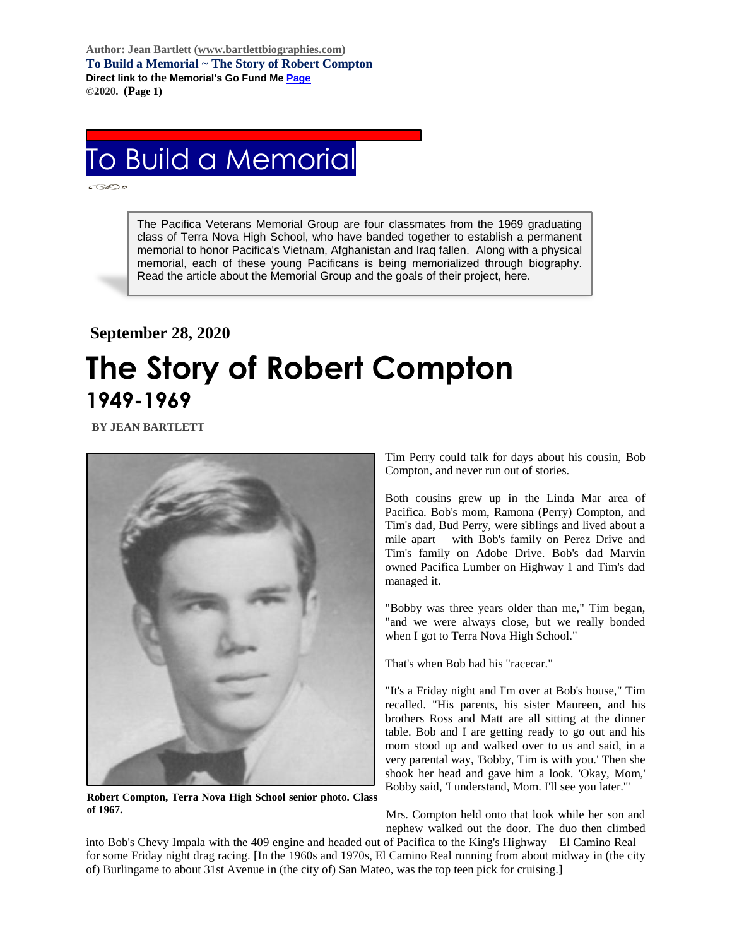**Author: Jean Bartlett [\(www.bartlettbiographies.com\)](http://www.bartlettbiographies.com/) To Build a Memorial ~ The Story of Robert Compton Direct link to the Memorial's Go Fund M[e Page](https://www.gofundme.com/f/uyf8r-25000?utm_source=customer&utm_medium=copy_link-tip&utm_campaign=p_cp+share-sheet) ©2020. (Page 1)**

# To Build a Memorial

The Pacifica Veterans Memorial Group are four classmates from the 1969 graduating class of Terra Nova High School, who have banded together to establish a permanent memorial to honor Pacifica's Vietnam, Afghanistan and Iraq fallen. Along with a physical memorial, each of these young Pacificans is being memorialized through biography. Read the article about the Memorial Group and the goals of their project, [here.](https://46d14119-b42d-469c-887f-083db2a10fe7.filesusr.com/ugd/5ea9c3_694b61f9c88d4750bf1a520233e8f35f.pdf)

# **September 28, 2020 The Story of Robert Compton 1949-1969**

 **BY JEAN BARTLETT** 



**Robert Compton, Terra Nova High School senior photo. Class of 1967.**

Tim Perry could talk for days about his cousin, Bob Compton, and never run out of stories.

Both cousins grew up in the Linda Mar area of Pacifica. Bob's mom, Ramona (Perry) Compton, and Tim's dad, Bud Perry, were siblings and lived about a mile apart – with Bob's family on Perez Drive and Tim's family on Adobe Drive. Bob's dad Marvin owned Pacifica Lumber on Highway 1 and Tim's dad managed it.

"Bobby was three years older than me," Tim began, "and we were always close, but we really bonded when I got to Terra Nova High School."

That's when Bob had his "racecar."

"It's a Friday night and I'm over at Bob's house," Tim recalled. "His parents, his sister Maureen, and his brothers Ross and Matt are all sitting at the dinner table. Bob and I are getting ready to go out and his mom stood up and walked over to us and said, in a very parental way, 'Bobby, Tim is with you.' Then she shook her head and gave him a look. 'Okay, Mom,' Bobby said, 'I understand, Mom. I'll see you later.'"

Mrs. Compton held onto that look while her son and nephew walked out the door. The duo then climbed

into Bob's Chevy Impala with the 409 engine and headed out of Pacifica to the King's Highway – El Camino Real – for some Friday night drag racing. [In the 1960s and 1970s, El Camino Real running from about midway in (the city of) Burlingame to about 31st Avenue in (the city of) San Mateo, was the top teen pick for cruising.]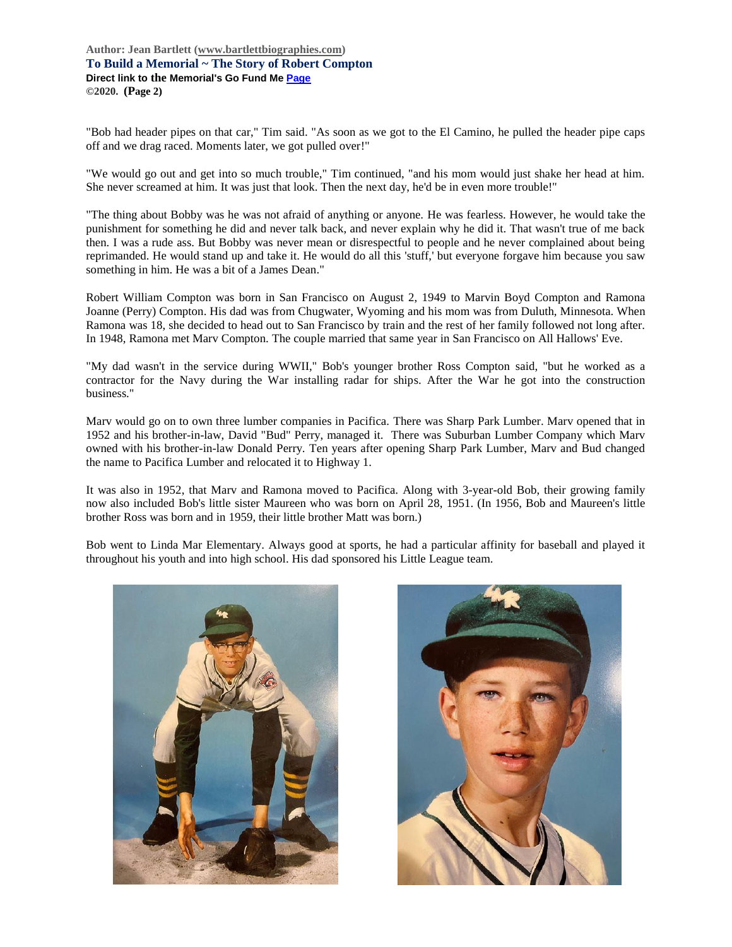**Author: Jean Bartlett [\(www.bartlettbiographies.com\)](http://www.bartlettbiographies.com/) To Build a Memorial ~ The Story of Robert Compton Direct link to the Memorial's Go Fund M[e Page](https://www.gofundme.com/f/uyf8r-25000?utm_source=customer&utm_medium=copy_link-tip&utm_campaign=p_cp+share-sheet) ©2020. (Page 2)**

"Bob had header pipes on that car," Tim said. "As soon as we got to the El Camino, he pulled the header pipe caps off and we drag raced. Moments later, we got pulled over!"

"We would go out and get into so much trouble," Tim continued, "and his mom would just shake her head at him. She never screamed at him. It was just that look. Then the next day, he'd be in even more trouble!"

"The thing about Bobby was he was not afraid of anything or anyone. He was fearless. However, he would take the punishment for something he did and never talk back, and never explain why he did it. That wasn't true of me back then. I was a rude ass. But Bobby was never mean or disrespectful to people and he never complained about being reprimanded. He would stand up and take it. He would do all this 'stuff,' but everyone forgave him because you saw something in him. He was a bit of a James Dean."

Robert William Compton was born in San Francisco on August 2, 1949 to Marvin Boyd Compton and Ramona Joanne (Perry) Compton. His dad was from Chugwater, Wyoming and his mom was from Duluth, Minnesota. When Ramona was 18, she decided to head out to San Francisco by train and the rest of her family followed not long after. In 1948, Ramona met Marv Compton. The couple married that same year in San Francisco on All Hallows' Eve.

"My dad wasn't in the service during WWII," Bob's younger brother Ross Compton said, "but he worked as a contractor for the Navy during the War installing radar for ships. After the War he got into the construction business."

Marv would go on to own three lumber companies in Pacifica. There was Sharp Park Lumber. Marv opened that in 1952 and his brother-in-law, David "Bud" Perry, managed it. There was Suburban Lumber Company which Marv owned with his brother-in-law Donald Perry. Ten years after opening Sharp Park Lumber, Marv and Bud changed the name to Pacifica Lumber and relocated it to Highway 1.

It was also in 1952, that Marv and Ramona moved to Pacifica. Along with 3-year-old Bob, their growing family now also included Bob's little sister Maureen who was born on April 28, 1951. (In 1956, Bob and Maureen's little brother Ross was born and in 1959, their little brother Matt was born.)

Bob went to Linda Mar Elementary. Always good at sports, he had a particular affinity for baseball and played it throughout his youth and into high school. His dad sponsored his Little League team.



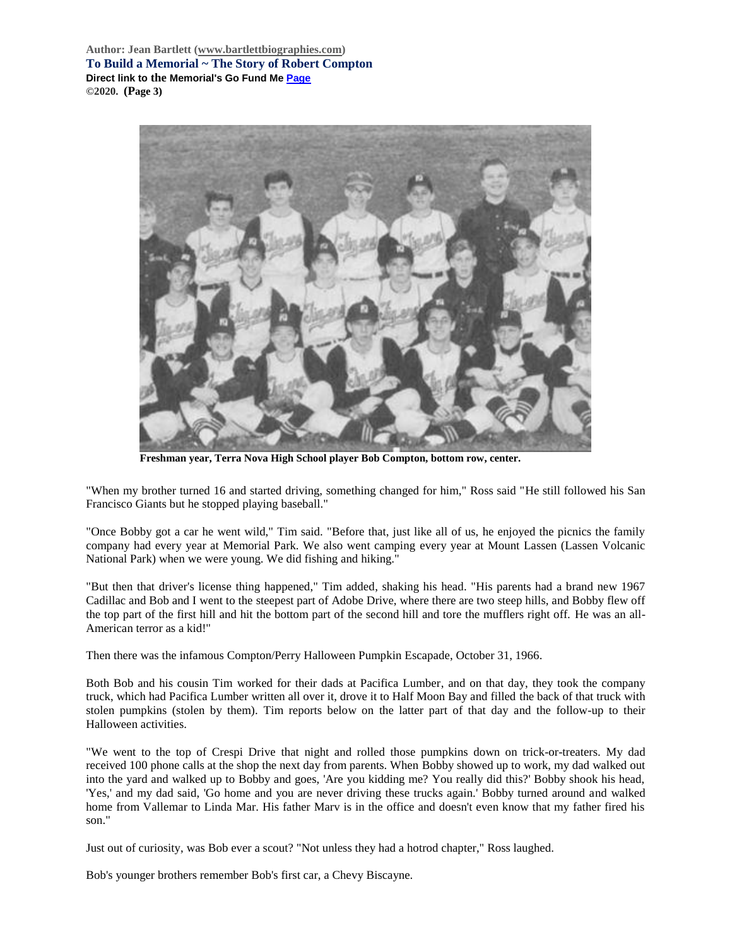**Author: Jean Bartlett [\(www.bartlettbiographies.com\)](http://www.bartlettbiographies.com/) To Build a Memorial ~ The Story of Robert Compton Direct link to the Memorial's Go Fund M[e Page](https://www.gofundme.com/f/uyf8r-25000?utm_source=customer&utm_medium=copy_link-tip&utm_campaign=p_cp+share-sheet) ©2020. (Page 3)**



**Freshman year, Terra Nova High School player Bob Compton, bottom row, center.**

"When my brother turned 16 and started driving, something changed for him," Ross said "He still followed his San Francisco Giants but he stopped playing baseball."

"Once Bobby got a car he went wild," Tim said. "Before that, just like all of us, he enjoyed the picnics the family company had every year at Memorial Park. We also went camping every year at Mount Lassen (Lassen Volcanic National Park) when we were young. We did fishing and hiking."

"But then that driver's license thing happened," Tim added, shaking his head. "His parents had a brand new 1967 Cadillac and Bob and I went to the steepest part of Adobe Drive, where there are two steep hills, and Bobby flew off the top part of the first hill and hit the bottom part of the second hill and tore the mufflers right off. He was an all-American terror as a kid!"

Then there was the infamous Compton/Perry Halloween Pumpkin Escapade, October 31, 1966.

Both Bob and his cousin Tim worked for their dads at Pacifica Lumber, and on that day, they took the company truck, which had Pacifica Lumber written all over it, drove it to Half Moon Bay and filled the back of that truck with stolen pumpkins (stolen by them). Tim reports below on the latter part of that day and the follow-up to their Halloween activities.

"We went to the top of Crespi Drive that night and rolled those pumpkins down on trick-or-treaters. My dad received 100 phone calls at the shop the next day from parents. When Bobby showed up to work, my dad walked out into the yard and walked up to Bobby and goes, 'Are you kidding me? You really did this?' Bobby shook his head, 'Yes,' and my dad said, 'Go home and you are never driving these trucks again.' Bobby turned around and walked home from Vallemar to Linda Mar. His father Marv is in the office and doesn't even know that my father fired his son."

Just out of curiosity, was Bob ever a scout? "Not unless they had a hotrod chapter," Ross laughed.

Bob's younger brothers remember Bob's first car, a Chevy Biscayne.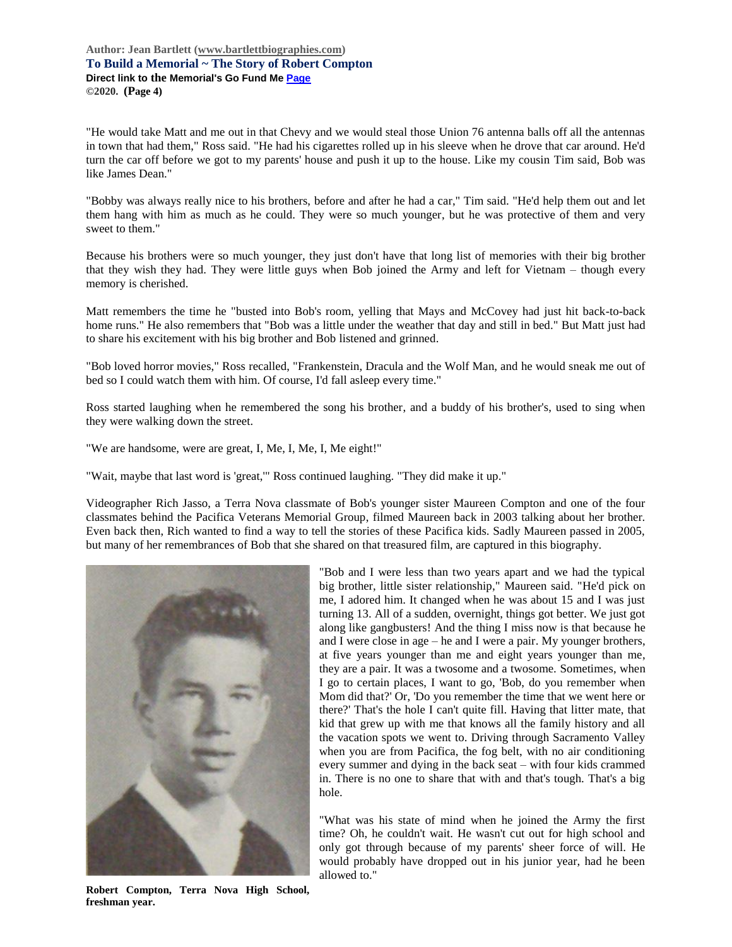**Author: Jean Bartlett [\(www.bartlettbiographies.com\)](http://www.bartlettbiographies.com/) To Build a Memorial ~ The Story of Robert Compton Direct link to the Memorial's Go Fund M[e Page](https://www.gofundme.com/f/uyf8r-25000?utm_source=customer&utm_medium=copy_link-tip&utm_campaign=p_cp+share-sheet) ©2020. (Page 4)**

"He would take Matt and me out in that Chevy and we would steal those Union 76 antenna balls off all the antennas in town that had them," Ross said. "He had his cigarettes rolled up in his sleeve when he drove that car around. He'd turn the car off before we got to my parents' house and push it up to the house. Like my cousin Tim said, Bob was like James Dean."

"Bobby was always really nice to his brothers, before and after he had a car," Tim said. "He'd help them out and let them hang with him as much as he could. They were so much younger, but he was protective of them and very sweet to them."

Because his brothers were so much younger, they just don't have that long list of memories with their big brother that they wish they had. They were little guys when Bob joined the Army and left for Vietnam – though every memory is cherished.

Matt remembers the time he "busted into Bob's room, yelling that Mays and McCovey had just hit back-to-back home runs." He also remembers that "Bob was a little under the weather that day and still in bed." But Matt just had to share his excitement with his big brother and Bob listened and grinned.

"Bob loved horror movies," Ross recalled, "Frankenstein, Dracula and the Wolf Man, and he would sneak me out of bed so I could watch them with him. Of course, I'd fall asleep every time."

Ross started laughing when he remembered the song his brother, and a buddy of his brother's, used to sing when they were walking down the street.

"We are handsome, were are great, I, Me, I, Me, I, Me eight!"

"Wait, maybe that last word is 'great,'" Ross continued laughing. "They did make it up."

Videographer Rich Jasso, a Terra Nova classmate of Bob's younger sister Maureen Compton and one of the four classmates behind the Pacifica Veterans Memorial Group, filmed Maureen back in 2003 talking about her brother. Even back then, Rich wanted to find a way to tell the stories of these Pacifica kids. Sadly Maureen passed in 2005, but many of her remembrances of Bob that she shared on that treasured film, are captured in this biography.



"Bob and I were less than two years apart and we had the typical big brother, little sister relationship," Maureen said. "He'd pick on me, I adored him. It changed when he was about 15 and I was just turning 13. All of a sudden, overnight, things got better. We just got along like gangbusters! And the thing I miss now is that because he and I were close in age – he and I were a pair. My younger brothers, at five years younger than me and eight years younger than me, they are a pair. It was a twosome and a twosome. Sometimes, when I go to certain places, I want to go, 'Bob, do you remember when Mom did that?' Or, 'Do you remember the time that we went here or there?' That's the hole I can't quite fill. Having that litter mate, that kid that grew up with me that knows all the family history and all the vacation spots we went to. Driving through Sacramento Valley when you are from Pacifica, the fog belt, with no air conditioning every summer and dying in the back seat – with four kids crammed in. There is no one to share that with and that's tough. That's a big hole.

"What was his state of mind when he joined the Army the first time? Oh, he couldn't wait. He wasn't cut out for high school and only got through because of my parents' sheer force of will. He would probably have dropped out in his junior year, had he been allowed to."

**Robert Compton, Terra Nova High School, freshman year.**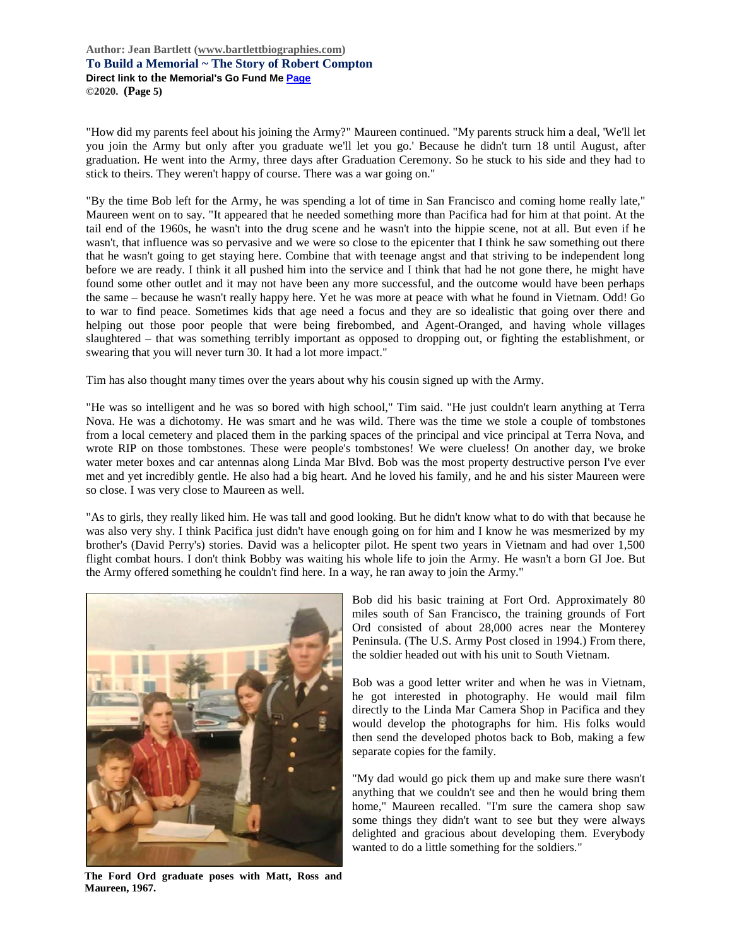**Author: Jean Bartlett [\(www.bartlettbiographies.com\)](http://www.bartlettbiographies.com/) To Build a Memorial ~ The Story of Robert Compton Direct link to the Memorial's Go Fund M[e Page](https://www.gofundme.com/f/uyf8r-25000?utm_source=customer&utm_medium=copy_link-tip&utm_campaign=p_cp+share-sheet) ©2020. (Page 5)**

"How did my parents feel about his joining the Army?" Maureen continued. "My parents struck him a deal, 'We'll let you join the Army but only after you graduate we'll let you go.' Because he didn't turn 18 until August, after graduation. He went into the Army, three days after Graduation Ceremony. So he stuck to his side and they had to stick to theirs. They weren't happy of course. There was a war going on."

"By the time Bob left for the Army, he was spending a lot of time in San Francisco and coming home really late," Maureen went on to say. "It appeared that he needed something more than Pacifica had for him at that point. At the tail end of the 1960s, he wasn't into the drug scene and he wasn't into the hippie scene, not at all. But even if he wasn't, that influence was so pervasive and we were so close to the epicenter that I think he saw something out there that he wasn't going to get staying here. Combine that with teenage angst and that striving to be independent long before we are ready. I think it all pushed him into the service and I think that had he not gone there, he might have found some other outlet and it may not have been any more successful, and the outcome would have been perhaps the same – because he wasn't really happy here. Yet he was more at peace with what he found in Vietnam. Odd! Go to war to find peace. Sometimes kids that age need a focus and they are so idealistic that going over there and helping out those poor people that were being firebombed, and Agent-Oranged, and having whole villages slaughtered – that was something terribly important as opposed to dropping out, or fighting the establishment, or swearing that you will never turn 30. It had a lot more impact."

Tim has also thought many times over the years about why his cousin signed up with the Army.

"He was so intelligent and he was so bored with high school," Tim said. "He just couldn't learn anything at Terra Nova. He was a dichotomy. He was smart and he was wild. There was the time we stole a couple of tombstones from a local cemetery and placed them in the parking spaces of the principal and vice principal at Terra Nova, and wrote RIP on those tombstones. These were people's tombstones! We were clueless! On another day, we broke water meter boxes and car antennas along Linda Mar Blvd. Bob was the most property destructive person I've ever met and yet incredibly gentle. He also had a big heart. And he loved his family, and he and his sister Maureen were so close. I was very close to Maureen as well.

"As to girls, they really liked him. He was tall and good looking. But he didn't know what to do with that because he was also very shy. I think Pacifica just didn't have enough going on for him and I know he was mesmerized by my brother's (David Perry's) stories. David was a helicopter pilot. He spent two years in Vietnam and had over 1,500 flight combat hours. I don't think Bobby was waiting his whole life to join the Army. He wasn't a born GI Joe. But the Army offered something he couldn't find here. In a way, he ran away to join the Army."



**The Ford Ord graduate poses with Matt, Ross and Maureen, 1967.**

Bob did his basic training at Fort Ord. Approximately 80 miles south of San Francisco, the training grounds of Fort Ord consisted of about 28,000 acres near the Monterey Peninsula. (The U.S. Army Post closed in 1994.) From there, the soldier headed out with his unit to South Vietnam.

Bob was a good letter writer and when he was in Vietnam, he got interested in photography. He would mail film directly to the Linda Mar Camera Shop in Pacifica and they would develop the photographs for him. His folks would then send the developed photos back to Bob, making a few separate copies for the family.

"My dad would go pick them up and make sure there wasn't anything that we couldn't see and then he would bring them home," Maureen recalled. "I'm sure the camera shop saw some things they didn't want to see but they were always delighted and gracious about developing them. Everybody wanted to do a little something for the soldiers."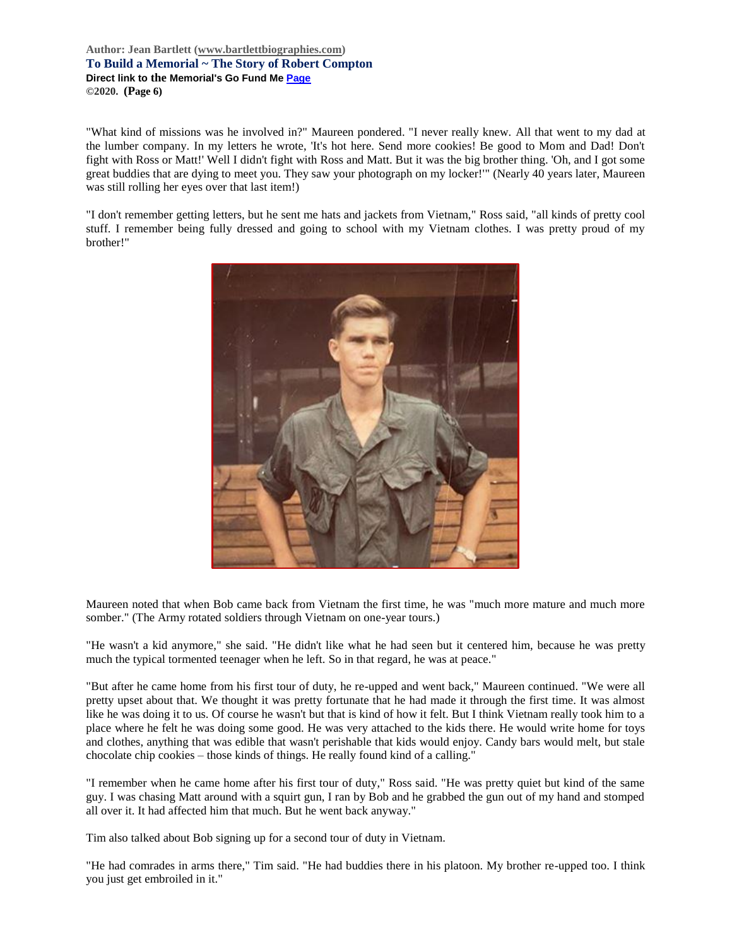## **Author: Jean Bartlett [\(www.bartlettbiographies.com\)](http://www.bartlettbiographies.com/) To Build a Memorial ~ The Story of Robert Compton Direct link to the Memorial's Go Fund M[e Page](https://www.gofundme.com/f/uyf8r-25000?utm_source=customer&utm_medium=copy_link-tip&utm_campaign=p_cp+share-sheet) ©2020. (Page 6)**

"What kind of missions was he involved in?" Maureen pondered. "I never really knew. All that went to my dad at the lumber company. In my letters he wrote, 'It's hot here. Send more cookies! Be good to Mom and Dad! Don't fight with Ross or Matt!' Well I didn't fight with Ross and Matt. But it was the big brother thing. 'Oh, and I got some great buddies that are dying to meet you. They saw your photograph on my locker!'" (Nearly 40 years later, Maureen was still rolling her eyes over that last item!)

"I don't remember getting letters, but he sent me hats and jackets from Vietnam," Ross said, "all kinds of pretty cool stuff. I remember being fully dressed and going to school with my Vietnam clothes. I was pretty proud of my brother!"



Maureen noted that when Bob came back from Vietnam the first time, he was "much more mature and much more somber." (The Army rotated soldiers through Vietnam on one-year tours.)

"He wasn't a kid anymore," she said. "He didn't like what he had seen but it centered him, because he was pretty much the typical tormented teenager when he left. So in that regard, he was at peace."

"But after he came home from his first tour of duty, he re-upped and went back," Maureen continued. "We were all pretty upset about that. We thought it was pretty fortunate that he had made it through the first time. It was almost like he was doing it to us. Of course he wasn't but that is kind of how it felt. But I think Vietnam really took him to a place where he felt he was doing some good. He was very attached to the kids there. He would write home for toys and clothes, anything that was edible that wasn't perishable that kids would enjoy. Candy bars would melt, but stale chocolate chip cookies – those kinds of things. He really found kind of a calling."

"I remember when he came home after his first tour of duty," Ross said. "He was pretty quiet but kind of the same guy. I was chasing Matt around with a squirt gun, I ran by Bob and he grabbed the gun out of my hand and stomped all over it. It had affected him that much. But he went back anyway."

Tim also talked about Bob signing up for a second tour of duty in Vietnam.

"He had comrades in arms there," Tim said. "He had buddies there in his platoon. My brother re-upped too. I think you just get embroiled in it."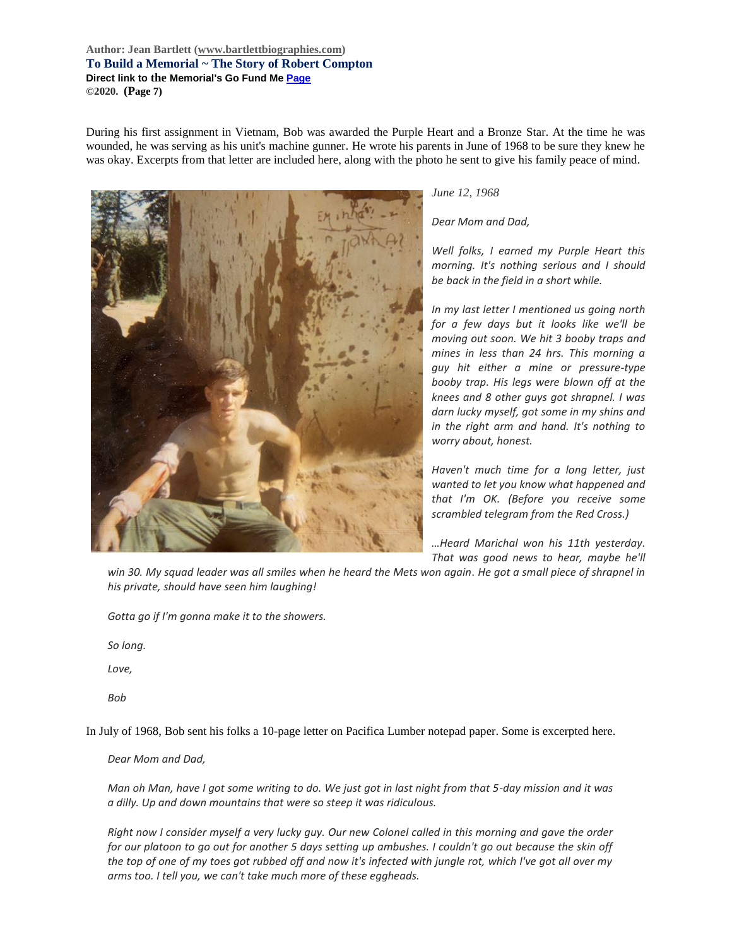**Author: Jean Bartlett [\(www.bartlettbiographies.com\)](http://www.bartlettbiographies.com/) To Build a Memorial ~ The Story of Robert Compton Direct link to the Memorial's Go Fund M[e Page](https://www.gofundme.com/f/uyf8r-25000?utm_source=customer&utm_medium=copy_link-tip&utm_campaign=p_cp+share-sheet) ©2020. (Page 7)**

During his first assignment in Vietnam, Bob was awarded the Purple Heart and a Bronze Star. At the time he was wounded, he was serving as his unit's machine gunner. He wrote his parents in June of 1968 to be sure they knew he was okay. Excerpts from that letter are included here, along with the photo he sent to give his family peace of mind.



# *June 12, 1968*

*Dear Mom and Dad,*

*Well folks, I earned my Purple Heart this morning. It's nothing serious and I should be back in the field in a short while.*

*In my last letter I mentioned us going north for a few days but it looks like we'll be moving out soon. We hit 3 booby traps and mines in less than 24 hrs. This morning a guy hit either a mine or pressure-type booby trap. His legs were blown off at the knees and 8 other guys got shrapnel. I was darn lucky myself, got some in my shins and in the right arm and hand. It's nothing to worry about, honest.*

*Haven't much time for a long letter, just wanted to let you know what happened and that I'm OK. (Before you receive some scrambled telegram from the Red Cross.)*

*…Heard Marichal won his 11th yesterday. That was good news to hear, maybe he'll* 

*win 30. My squad leader was all smiles when he heard the Mets won again. He got a small piece of shrapnel in his private, should have seen him laughing!*

*Gotta go if I'm gonna make it to the showers.*

*So long.* 

*Love,*

*Bob*

In July of 1968, Bob sent his folks a 10-page letter on Pacifica Lumber notepad paper. Some is excerpted here.

#### *Dear Mom and Dad,*

*Man oh Man, have I got some writing to do. We just got in last night from that 5-day mission and it was a dilly. Up and down mountains that were so steep it was ridiculous.*

*Right now I consider myself a very lucky guy. Our new Colonel called in this morning and gave the order for our platoon to go out for another 5 days setting up ambushes. I couldn't go out because the skin off the top of one of my toes got rubbed off and now it's infected with jungle rot, which I've got all over my arms too. I tell you, we can't take much more of these eggheads.*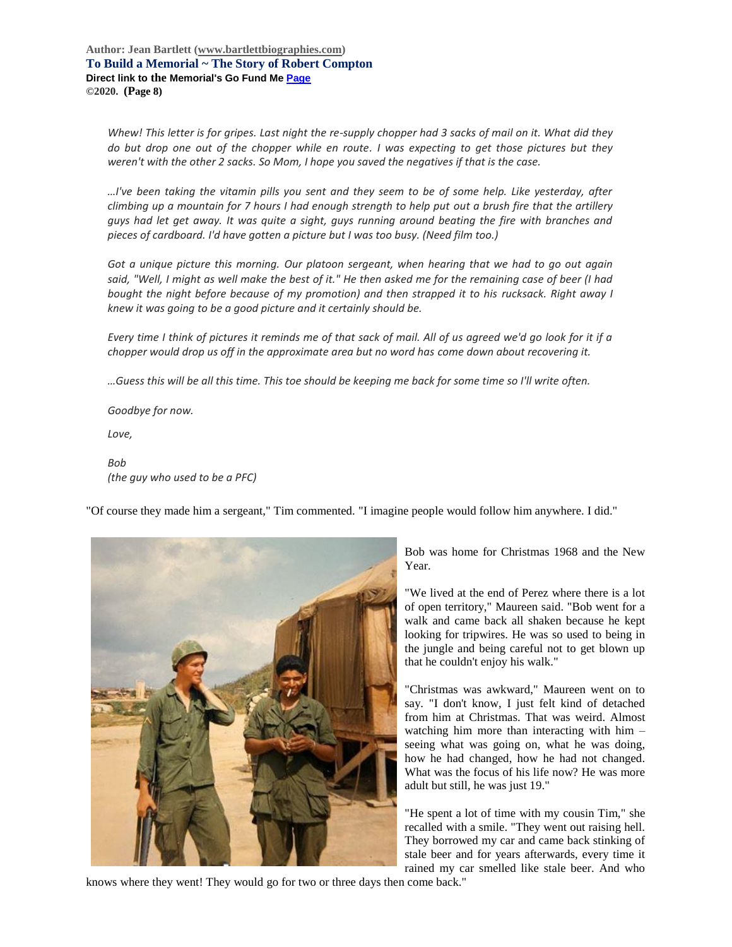**Author: Jean Bartlett [\(www.bartlettbiographies.com\)](http://www.bartlettbiographies.com/) To Build a Memorial ~ The Story of Robert Compton Direct link to the Memorial's Go Fund M[e Page](https://www.gofundme.com/f/uyf8r-25000?utm_source=customer&utm_medium=copy_link-tip&utm_campaign=p_cp+share-sheet) ©2020. (Page 8)**

*Whew! This letter is for gripes. Last night the re-supply chopper had 3 sacks of mail on it. What did they do but drop one out of the chopper while en route. I was expecting to get those pictures but they weren't with the other 2 sacks. So Mom, I hope you saved the negatives if that is the case.*

*…I've been taking the vitamin pills you sent and they seem to be of some help. Like yesterday, after climbing up a mountain for 7 hours I had enough strength to help put out a brush fire that the artillery guys had let get away. It was quite a sight, guys running around beating the fire with branches and pieces of cardboard. I'd have gotten a picture but I was too busy. (Need film too.)*

*Got a unique picture this morning. Our platoon sergeant, when hearing that we had to go out again said, "Well, I might as well make the best of it." He then asked me for the remaining case of beer (I had bought the night before because of my promotion) and then strapped it to his rucksack. Right away I knew it was going to be a good picture and it certainly should be.*

*Every time I think of pictures it reminds me of that sack of mail. All of us agreed we'd go look for it if a chopper would drop us off in the approximate area but no word has come down about recovering it.*

*…Guess this will be all this time. This toe should be keeping me back for some time so I'll write often.*

*Goodbye for now.* 

*Love,*

*Bob (the guy who used to be a PFC)*

"Of course they made him a sergeant," Tim commented. "I imagine people would follow him anywhere. I did."



Bob was home for Christmas 1968 and the New Year.

"We lived at the end of Perez where there is a lot of open territory," Maureen said. "Bob went for a walk and came back all shaken because he kept looking for tripwires. He was so used to being in the jungle and being careful not to get blown up that he couldn't enjoy his walk."

"Christmas was awkward," Maureen went on to say. "I don't know, I just felt kind of detached from him at Christmas. That was weird. Almost watching him more than interacting with him – seeing what was going on, what he was doing, how he had changed, how he had not changed. What was the focus of his life now? He was more adult but still, he was just 19."

"He spent a lot of time with my cousin Tim," she recalled with a smile. "They went out raising hell. They borrowed my car and came back stinking of stale beer and for years afterwards, every time it rained my car smelled like stale beer. And who

knows where they went! They would go for two or three days then come back."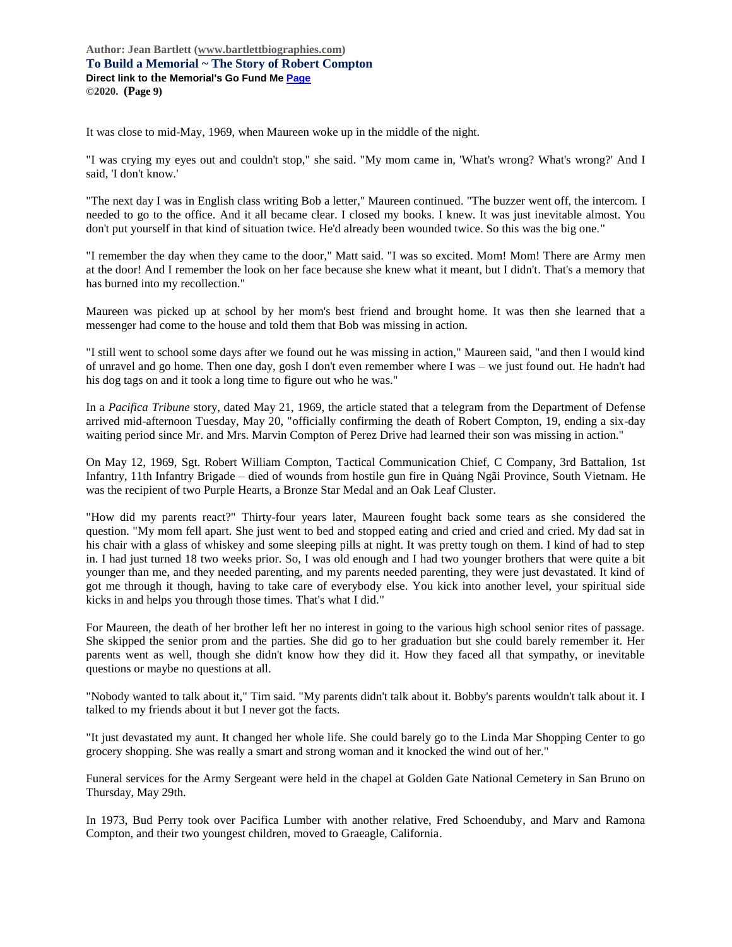It was close to mid-May, 1969, when Maureen woke up in the middle of the night.

"I was crying my eyes out and couldn't stop," she said. "My mom came in, 'What's wrong? What's wrong?' And I said, 'I don't know.'

"The next day I was in English class writing Bob a letter," Maureen continued. "The buzzer went off, the intercom. I needed to go to the office. And it all became clear. I closed my books. I knew. It was just inevitable almost. You don't put yourself in that kind of situation twice. He'd already been wounded twice. So this was the big one."

"I remember the day when they came to the door," Matt said. "I was so excited. Mom! Mom! There are Army men at the door! And I remember the look on her face because she knew what it meant, but I didn't. That's a memory that has burned into my recollection."

Maureen was picked up at school by her mom's best friend and brought home. It was then she learned that a messenger had come to the house and told them that Bob was missing in action.

"I still went to school some days after we found out he was missing in action," Maureen said, "and then I would kind of unravel and go home. Then one day, gosh I don't even remember where I was – we just found out. He hadn't had his dog tags on and it took a long time to figure out who he was."

In a *Pacifica Tribune* story, dated May 21, 1969, the article stated that a telegram from the Department of Defense arrived mid-afternoon Tuesday, May 20, "officially confirming the death of Robert Compton, 19, ending a six-day waiting period since Mr. and Mrs. Marvin Compton of Perez Drive had learned their son was missing in action."

On May 12, 1969, Sgt. Robert William Compton, Tactical Communication Chief, C Company, 3rd Battalion, 1st Infantry, 11th Infantry Brigade – died of wounds from hostile gun fire in Quảng Ngãi Province, South Vietnam. He was the recipient of two Purple Hearts, a Bronze Star Medal and an Oak Leaf Cluster.

"How did my parents react?" Thirty-four years later, Maureen fought back some tears as she considered the question. "My mom fell apart. She just went to bed and stopped eating and cried and cried and cried. My dad sat in his chair with a glass of whiskey and some sleeping pills at night. It was pretty tough on them. I kind of had to step in. I had just turned 18 two weeks prior. So, I was old enough and I had two younger brothers that were quite a bit younger than me, and they needed parenting, and my parents needed parenting, they were just devastated. It kind of got me through it though, having to take care of everybody else. You kick into another level, your spiritual side kicks in and helps you through those times. That's what I did."

For Maureen, the death of her brother left her no interest in going to the various high school senior rites of passage. She skipped the senior prom and the parties. She did go to her graduation but she could barely remember it. Her parents went as well, though she didn't know how they did it. How they faced all that sympathy, or inevitable questions or maybe no questions at all.

"Nobody wanted to talk about it," Tim said. "My parents didn't talk about it. Bobby's parents wouldn't talk about it. I talked to my friends about it but I never got the facts.

"It just devastated my aunt. It changed her whole life. She could barely go to the Linda Mar Shopping Center to go grocery shopping. She was really a smart and strong woman and it knocked the wind out of her."

Funeral services for the Army Sergeant were held in the chapel at Golden Gate National Cemetery in San Bruno on Thursday, May 29th.

In 1973, Bud Perry took over Pacifica Lumber with another relative, Fred Schoenduby, and Marv and Ramona Compton, and their two youngest children, moved to Graeagle, California.